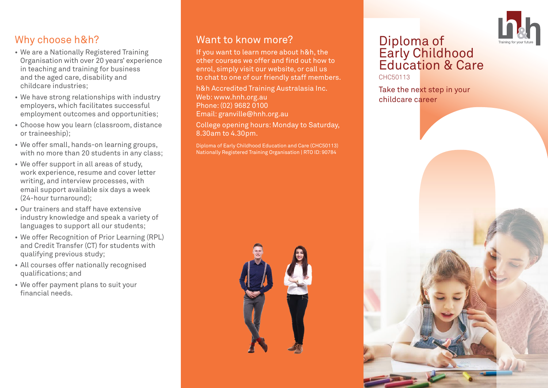# Why choose h&h?

- We are a Nationally Registered Training Organisation with over 20 years' experience in teaching and training for business and the aged care, disability and childcare industries;
- We have strong relationships with industry employers, which facilitates successful employment outcomes and opportunities;
- Choose how you learn (classroom, distance or traineeship);
- We offer small, hands-on learning groups, with no more than 20 students in any class:
- We offer support in all areas of study, work experience, resume and cover letter writing, and interview processes, with email support available six days a week (24-hour turnaround);
- Our trainers and staff have extensive industry knowledge and speak a variety of languages to support all our students;
- We offer Recognition of Prior Learning (RPL) and Credit Transfer (CT) for students with qualifying previous study;
- All courses offer nationally recognised qualifications; and
- We offer payment plans to suit your financial needs.

# Want to know more?

If you want to learn more about h&h, the other courses we offer and find out how to enrol, simply visit our website, or call us to chat to one of our friendly staff members.

h&h Accredited Training Australasia Inc. Web: www.hnh.org.au Phone: (02) 9682 0100 Email: granville@hnh.org.au

College opening hours: Monday to Saturday, 8.30am to 4.30pm.

Diploma of Early Childhood Education and Care (CHC50113) Nationally Registered Training Organisation | RTO ID: 90784



# Diploma of Early Childhood Education & Care

CHC50113

Take the next step in your childcare career